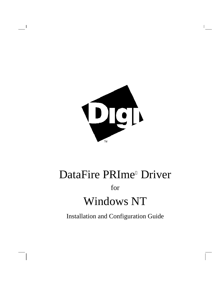

 $\blacksquare$ 

# DataFire PRIme<sup>™</sup> Driver

## for

## Windows NT

Installation and Configuration Guide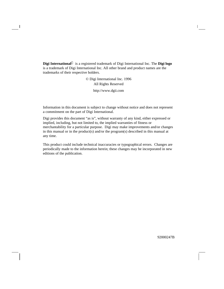**Digi International**<sup>®</sup> is a registered trademark of Digi International Inc. The Digi logo is a trademark of Digi International Inc. All other brand and product names are the trademarks of their respective holders.

 $\overline{\phantom{a}}$ 

© Digi International Inc. 1996 All Rights Reserved http://www.dgii.com

Information in this document is subject to change without notice and does not represent a commitment on the part of Digi International.

Digi provides this document "as is", without warranty of any kind, either expressed or implied, including, but not limited to, the implied warranties of fitness or merchantability for a particular purpose. Digi may make improvements and/or changes in this manual or in the product(s) and/or the program(s) described in this manual at any time.

This product could include technical inaccuracies or typographical errors. Changes are periodically made to the information herein; these changes may be incorporated in new editions of the publication.

92000247B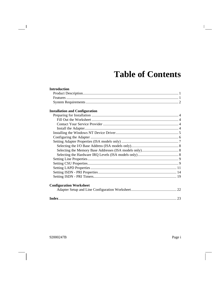## **Table of Contents**

 $\mathbf{I}$ 

| <b>Introduction</b>                   |
|---------------------------------------|
|                                       |
|                                       |
|                                       |
| <b>Installation and Configuration</b> |
|                                       |
|                                       |
|                                       |
|                                       |
|                                       |
|                                       |
|                                       |
|                                       |
|                                       |
|                                       |
|                                       |
|                                       |
|                                       |
|                                       |
|                                       |
| <b>Configuration Worksheet</b>        |
|                                       |
|                                       |

 $\sim 1$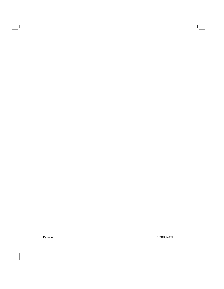$\blacksquare$ 

Page ii 92000247B

 $\Gamma$  .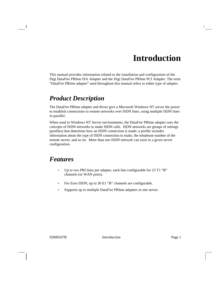## **Introduction**

This manual provides information related to the installation and configuration of the Digi DataFire PRIme ISA Adapter and the Digi DataFire PRIme PCI Adapter. The term "DataFire PRIme adapter" used throughout this manual refers to either type of adapter.

### *Product Description*

The DataFire PRIme adapter and driver give a Microsoft Windows NT server the power to establish connections to remote networks over ISDN lines, using multiple ISDN lines in parallel.

When used in Windows NT Server environments, the DataFire PRIme adapter uses the concepts of ISDN networks to make ISDN calls. ISDN networks are groups of settings (profiles) that determine how an ISDN connection is made; a profile includes information about the type of ISDN connection to make, the telephone number of the remote server, and so on. More than one ISDN network can exist in a given server configuration.

### *Features*

a l

- Up to two PRI lines per adapter, each line configurable for 23 T1 "B" channels (or WAN ports).
- For Euro ISDN, up to 30 E1 "B" channels are configurable.
- Supports up to multiple DataFire PRIme adapters in one server.

92000247B Introduction Page 1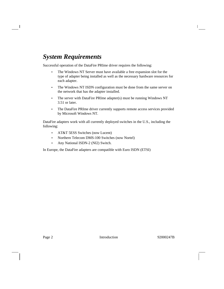### *System Requirements*

 $\overline{\phantom{a}}$ 

Successful operation of the DataFire PRIme driver requires the following:

- The Windows NT Server must have available a free expansion slot for the type of adapter being installed as well as the necessary hardware resources for each adapter.
- The Windows NT ISDN configuration must be done from the same server on the network that has the adapter installed.
- The server with DataFire PRIme adapter(s) must be running Windows NT 3.51 or later.
- The DataFire PRIme driver currently supports remote access services provided by Microsoft Windows NT.

DataFire adapters work with all currently deployed switches in the U.S., including the following:

- AT&T 5ESS Switches (now Lucent)
- Northern Telecom DMS-100 Switches (now Nortel)
- Any National ISDN-2 (NI2) Switch.

In Europe, the DataFire adapters are compatible with Euro ISDN (ETSI)

Page 2 Introduction 92000247B

 $\overline{1}$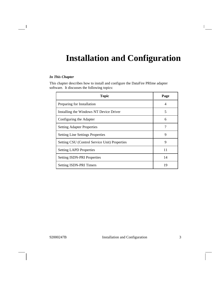## **Installation and Configuration**

#### *In This Chapter*

 $\overline{\phantom{0}}$ 

This chapter describes how to install and configure the DataFire PRIme adapter software. It discusses the following topics:

| <b>Topic</b>                                  | Page |
|-----------------------------------------------|------|
| Preparing for Installation                    | 4    |
| Installing the Windows NT Device Driver       | 5    |
| Configuring the Adapter                       | 6    |
| <b>Setting Adapter Properties</b>             | 7    |
| <b>Setting Line Settings Properties</b>       | 9    |
| Setting CSU (Control Service Unit) Properties | 9    |
| <b>Setting LAPD Properties</b>                | 11   |
| <b>Setting ISDN-PRI Properties</b>            | 14   |
| <b>Setting ISDN-PRI Timers</b>                | 19   |

 $\mathbf{I}$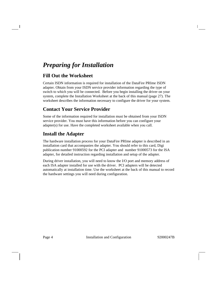### *Preparing for Installation*

### **Fill Out the Worksheet**

Certain ISDN information is required for installation of the DataFire PRIme ISDN adapter. Obtain from your ISDN service provider information regarding the type of switch to which you will be connected. Before you begin installing the driver on your system, complete the Installation Worksheet at the back of this manual (page 27). The worksheet describes the information necessary to configure the driver for your system.

### **Contact Your Service Provider**

Some of the information required for installation must be obtained from your ISDN service provider. You must have this information before you can configure your adapter(s) for use. Have the completed worksheet available when you call.

### **Install the Adapter**

The hardware installation process for your DataFire PRIme adapter is described in an installation card that accompanies the adapter. You should refer to this card, Digi publication number 91000592 for the PCI adapter and number 91000573 for the ISA adapter, for detailed instruction regarding installation and setup of the adapter.

During driver installation, you will need to know the I/O port and memory address of each ISA adapter installed for use with the driver. PCI adapters will be detected automatically at installation time. Use the worksheet at the back of this manual to record the hardware settings you will need during configuration.

Page 4 **Installation and Configuration** 92000247B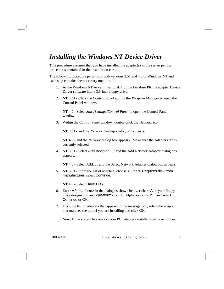### *Installing the Windows NT Device Driver*

This procedure assumes that you have installed the adapter(s) in the server per the procedures contained in the installation card.

The following procedure pertains to both versions 3.51 and 4.0 of Windows NT and each step contains the necessary notation.

- 1. At the Windows NT server, insert disk 1 of the DataFire PRIme adapter Device Driver software into a 3.5-inch floppy drive.
- 2. **NT 3.51** Click the *Control Panel* icon in the *Program Manager* to open the Control Panel window.

**NT 4.0** - Select *Start/Settings/Control Panel* to open the Control Panel window.

3. Within the Control Panel window, double-click the Network icon:

**NT 3.51** - and the *Network Settings* dialog box appears.

**NT 4.0** - and the *Network* dialog box appears. Make sure the Adapters tab is currently selected.

4. **NT 3.51** - Select Add Adapter . . . and the Add Network Adapter dialog box appears.

**NT 4.0** - Select Add. . . and the Select Network Adapter dialog box appears.

5. **NT 3.51** - From the list of adapters, choose <Other> Requires disk from manufacturer, select Continue.

**NT 4.0** - Select Have Disk.

- 6. Enter A: $\leq$  platform > in the dialog as shown below (where A: is your floppy drive designation and <platform> is x86, Alpha, or PowerPC) and select Continue or OK.
- 7. From the list of adapters that appears in the message box, select the adapter that matches the model you are installing and click OK.

*Note:* If the system has one or more PCI adapters installed that have not been

a l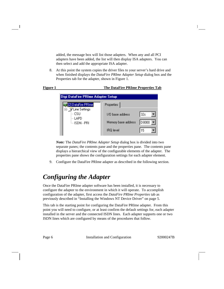added, the message box will list those adapters. When any and all PCI adapters have been added, the list will then display ISA adapters. You can then select and add the appropriate ISA adapter.

8. At this point the system copies the driver files to your server's hard drive and when finished displays the *DataFire PRIme Adapter Setup* dialog box and the Properties tab for the adapter, shown in Figure 1.

#### **Figure 1** The DataFire PRIme Properties Tab Digi DataFire PRIme Adapter Setup Properties || [2] DataFire PRIme 白 . y Line Settings -CSU 32c Y I/O base address LAPD Memory base address D8000 ISDN - PRI IRQ level 15 Y

*Note:* The *DataFire PRIme Adapter Setup* dialog box is divided into two separate panes; the contents pane and the properties pane. The contents pane displays a hierarchical view of the configurable elements of the adapter. The properties pane shows the configuration settings for each adapter element.

9. Configure the DataFire PRIme adapter as described in the following section.

### *Configuring the Adapter*

Once the DataFire PRIme adapter software has been installed, it is necessary to configure the adapter to the environment in which it will operate. To accomplish configuration of the adapter, first access the *DataFire PRIme Properties* tab as previously described in "Installing the Windows NT Device Driver" on page 5.

This tab is the starting point for configuring the DataFire PRIme adapter. From this point you will need to configure, or at least confirm the default settings for, each adapter installed in the server and the connected ISDN lines. Each adapter supports one or two ISDN lines which are configured by means of the procedures that follow.

Page 6 **Installation and Configuration** 92000247B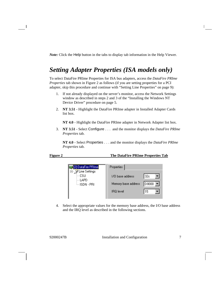*Note:* Click the Help button in the tabs to display tab information in the Help Viewer.

### *Setting Adapter Properties (ISA models only)*

To select DataFire PRIme Properties for ISA bus adapters, access the *DataFire PRIme Properties* tab shown in Figure 2 as follows (if you are setting properties for a PCI adapter, skip this procedure and continue with "Setting Line Properties" on page 9):

- 1. If not already displayed on the server's monitor, access the Network Settings window as described in steps 2 and 3 of the "Installing the Windows NT Device Driver" procedure on page 5.
- 2. **NT 3.51** Highlight the DataFire PRIme adapter in Installed Adapter Cards list box.

**NT 4.0** - Highlight the DataFire PRIme adapter in Network Adapter list box.

3. **NT 3.51** - Select Configure . . . and the monitor displays the *DataFire PRIme Properties* tab.

**NT 4.0** - Select Properties . . . and the monitor displays the *DataFire PRIme Properties* tab.

#### **Figure 2** The DataFire PRIme Properties Tab



4. Select the appropriate values for the memory base address, the I/O base address and the IRQ level as described in the following sections.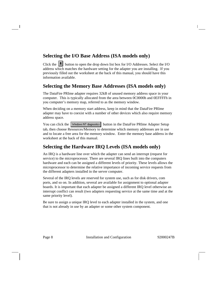### **Selecting the I/O Base Address (ISA models only)**

Click the  $\left| \cdot \right|$  button to open the drop down list box for I/O Addresses. Select the I/O address which matches the hardware setting for the adapter you are installing. If you previously filled out the worksheet at the back of this manual, you should have this information available.

### **Selecting the Memory Base Addresses (ISA models only)**

The DataFire PRIme adapter requires 32kB of unused memory address space in your computer. This is typically allocated from the area between 0C0000h and 0EFFFFh in you computer's memory map, referred to as the memory window.

When deciding on a memory start address, keep in mind that the DataFire PRIme adapter may have to coexist with a number of other devices which also require memory address space.

You can click the Windows NT diagnostics button in the DataFire PRIme Adapter Setup tab, then choose Resources/Memory to determine which memory addresses are in use and to locate a free area for the memory window. Enter the memory base address in the worksheet at the back of this manual.

### **Selecting the Hardware IRQ Levels (ISA models only)**

An IRQ is a hardware line over which the adapter can send an interrupt (request for service) to the microprocessor. There are several IRQ lines built into the computers hardware and each can be assigned a different levels of priority. These levels allows the microprocessor to determine the relative importance of incoming service requests from the different adapters installed in the server computer.

Several of the IRQ levels are reserved for system use, such as for disk drivers, com ports, and so on. In addition, several are available for assignment to optional adapter boards. It is important that each adapter be assigned a different IRQ level otherwise an interrupt conflict can result (two adapters requesting service at the same time and at the same priority level).

Be sure to assign a unique IRQ level to each adapter installed in the system, and one that is not already in use by an adapter or some other system component.

Page 8 **Installation and Configuration** 92000247B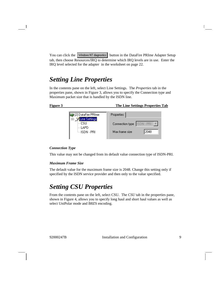You can click the Windows NT diagnostics button in the DataFire PRIme Adapter Setup tab, then choose Resources/IRQ to determine which IRQ levels are in use. Enter the IRQ level selected for the adapter in the worksheet on page 22.

### *Setting Line Properties*

In the contents pane on the left, select Line Settings. The *Properties* tab in the properties pane, shown in Figure 3, allows you to specify the Connection type and Maximum packet size that is handled by the ISDN line.

a l

**Figure 3** The Line Settings Properties Tab

| ■[2] DataFire PRIme        | Properties             |
|----------------------------|------------------------|
| Sy Line Settings<br>— CSH. |                        |
| ≔ LAPD<br>≒ ISDN - PRI     | 2048<br>Max frame size |
|                            |                        |

#### *Connection Type*

This value may not be changed from its default value connection type of ISDN-PRI.

#### *Maximum Frame Size*

The default value for the maximum frame size is 2048. Change this setting only if specified by the ISDN service provider and then only to the value specified.

### *Setting CSU Properties*

From the contents pane on the left, select CSU. The *CSU* tab in the properties pane, shown in Figure 4, allows you to specify long haul and short haul values as well as select UniPolar mode and B8ZS encoding.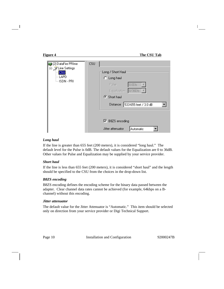**Figure 4** The CSU Tab

| [2] DataFire PRIme<br>Line Settings<br>y.<br>CSU<br>≔ LAPD<br>└└ ISDN - PRI | <b>CSU</b><br>Long / Short Haul<br>$\bigcirc$ Long haul<br>0.0D <sub>b</sub><br>Pulse<br>0/36Db<br>Equalization<br>G Short haul<br>533-655 feet / 3.0 dB<br>Distance |
|-----------------------------------------------------------------------------|----------------------------------------------------------------------------------------------------------------------------------------------------------------------|
|                                                                             | $\nabla$ B8ZS encoding<br>Jitter attenuator<br>Automatic                                                                                                             |

#### *Long haul*

If the line is greater than 655 feet (200 meters), it is considered "long haul." The default level for the Pulse is 0dB. The default values for the Equalization are 0 to 36dB. Other values for Pulse and Equalization may be supplied by your service provider.

#### *Short haul*

If the line is less than 655 feet (200 meters), it is considered "short haul" and the length should be specified to the CSU from the choices in the drop-down list.

#### *B8ZS encoding*

B8ZS encoding defines the encoding scheme for the binary data passed between the adapter. Clear channel data rates cannot be achieved (for example, 64kbps on a Bchannel) without this encoding.

#### *Jitter attenuator*

The default value for the Jitter Attenuator is "Automatic." This item should be selected only on direction from your service provider or Digi Technical Support.

Page 10 Installation and Configuration 92000247B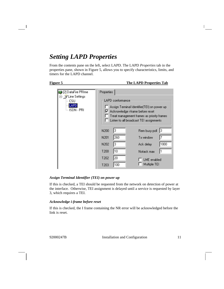### *Setting LAPD Properties*

From the contents pane on the left, select LAPD. The LAPD *Properties* tab in the properties pane, shown in Figure 5, allows you to specify characteristics, limits, and timers for the LAPD channel.



**Figure 5** The LAPD Properties Tab



#### *Assign Terminal Identifier (TEI) on power up*

If this is checked, a TEI should be requested from the network on detection of power at the interface. Otherwise, TEI assignment is delayed until a service is requested by layer 3, which requires a TEI.

#### *Acknowledge i-frame before reset*

If this is checked, the I frame containing the NR error will be acknowledged before the link is reset.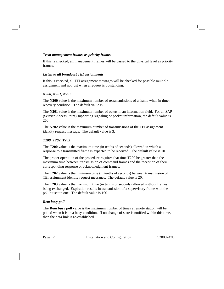#### *Treat management frames as priority frames*

If this is checked, all management frames will be passed to the physical level as priority frames.

#### *Listen to all broadcast TEI assignments*

If this is checked, all TEI assignment messages will be checked for possible multiple assignment and not just when a request is outstanding.

#### *N200, N201, N202*

 $\overline{\phantom{a}}$ 

The **N200** value is the maximum number of retransmissions of a frame when in timer recovery condition. The default value is 3.

The **N201** value is the maximum number of octets in an information field. For an SAP (Service Access Point) supporting signaling or packet information, the default value is 260.

The **N202** value is the maximum number of transmissions of the TEI assignment identity request message. The default value is 3.

#### *T200, T202, T203*

The **T200** value is the maximum time (in tenths of seconds) allowed in which a response to a transmitted frame is expected to be received. The default value is 10.

The proper operation of the procedure requires that time T200 be greater than the maximum time between transmission of command frames and the reception of their corresponding response or acknowledgment frames.

The **T202** value is the minimum time (in tenths of seconds) between transmission of TEI assignment identity request messages. The default value is 20.

The **T203** value is the maximum time (in tenths of seconds) allowed without frames being exchanged. Expiration results in transmission of a supervisory frame with the poll bit set to one. The default value is 100.

#### *Rem busy poll*

The **Rem busy poll** value is the maximum number of times a remote station will be polled when it is in a busy condition. If no change of state is notified within this time, then the data link is re-established.

Page 12 **Installation and Configuration** 92000247B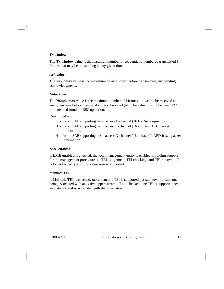#### *Tx window*

The **Tx window** value is the maximum number of sequentially numbered transmitted I frames that may be outstanding at any given time.

#### *Ack delay*

The **Ack delay** value is the maximum delay allowed before transmitting any pending acknowledgments.

#### *Notack max*

The **Notack max** value is the maximum number of I frames allowed to be received at any given time before they must all be acknowledged. The value must not exceed 127 for extended (modulo 128) operation.

Default values:

- 1 for an SAP supporting basic access D-channel (16 kbit/sec) signaling.
- 3 for an SAP supporting basic access D-channel (16 kbit/sec) X.31 packet information.
- 4 for an SAP supporting basic access D-channel (16 kbit/sec) LAPD-based packet information.

#### *LME enabled*

If **LME enabled** is checked, the local management entity is enabled providing support for the management procedures to TEI assignment, TEI checking, and TEI removal. If not checked, only a TEI of value zero is supported.

#### *Multiple TEI*

If **Multiple TEI** is checked, more than one TEI is supported per subnetwork, each one being associated with an active upper stream. If not checked, one TEI is supported per subnetwork and is associated with the lower stream.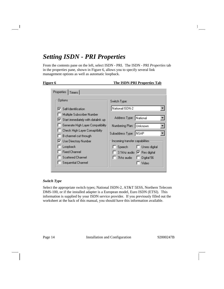### *Setting ISDN - PRI Properties*

From the contents pane on the left, select ISDN - PRI. The ISDN - PRI *Properties* tab in the properties pane, shown in Figure 6, allows you to specify several link management options as well as automatic loopback.



 $\overline{\phantom{a}}$ 

#### **Figure 6** The ISDN-PRI Properties Tab

 $\overline{1}$ 

| <b>Properties</b><br>Timers                                                      |                                 |
|----------------------------------------------------------------------------------|---------------------------------|
| Options                                                                          | Switch Type:                    |
| $\nabla$ Self-Identification                                                     | National ISDN-2                 |
| Multiple Subscriber Number<br>$\triangledown$ Start immediately with datalink up | Address Type: National          |
| Generate High Layer Compatibility                                                | Numbering Plan: Unknown         |
| Check High Layer Comaptibilty<br>B-channel cut through                           | Subaddress Type: NSAP           |
| <b>▽</b> Use Directory Number                                                    | Incoming transfer capabilities: |
| Loopback                                                                         | Unres digital<br>Speech         |
| <b>Fixed Channel</b>                                                             | 3.1khz audio 区 Res digital      |
| <b>Scattered Channel</b>                                                         | 7khz audio<br>Digital 56        |
| Sequential Channel                                                               | Video                           |
|                                                                                  |                                 |

#### *Switch Type*

Select the appropriate switch types; National ISDN-2, AT&T 5ESS, Northern Telecom DMS-100, or if the installed adapter is a European model, Euro ISDN (ETSI). This information is supplied by your ISDN service provider. If you previously filled out the worksheet at the back of this manual, you should have this information available.

Page 14 Installation and Configuration 92000247B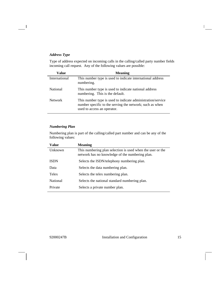#### *Address Type*

 $\overline{a}$ 

 $\overline{\phantom{a}}$ 

Type of address expected on incoming calls in the calling/called party number fields incoming call request. Any of the following values are possible:

| Value          | <b>Meaning</b>                                                                                                                                         |
|----------------|--------------------------------------------------------------------------------------------------------------------------------------------------------|
| International  | This number type is used to indicate international address<br>numbering.                                                                               |
| National       | This number type is used to indicate national address<br>numbering. This is the default.                                                               |
| <b>Network</b> | This number type is used to indicate administration/service<br>number specific to the serving the network; such as when<br>used to access an operator. |

#### *Numbering Plan*

Numbering plan is part of the calling/called part number and can be any of the following values:

| Value       | <b>Meaning</b>                                                                                                |
|-------------|---------------------------------------------------------------------------------------------------------------|
| Unknown     | This numbering plan selection is used when the user or the<br>network has no knowledge of the numbering plan. |
| <b>ISDN</b> | Selects the ISDN/telephony numbering plan.                                                                    |
| Data        | Selects the data numbering plan.                                                                              |
| Telex       | Selects the telex numbering plan.                                                                             |
| National    | Selects the national standard numbering plan.                                                                 |
| Private     | Selects a private number plan.                                                                                |

 $\overline{\phantom{a}}$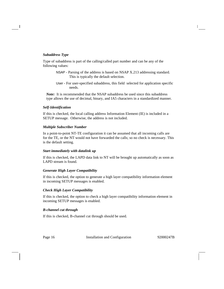#### *Subaddress Type*

 $\overline{\phantom{a}}$ 

Type of subaddress is part of the calling/called part number and can be any of the following values:

- NSAP Parsing of the address is based on NSAP X.213 addressing standard. This is typically the default selection.
- User For user-specified subaddress, this field selected for application specific needs.

*Note*: It is recommended that the NSAP subaddress be used since this subaddress type allows the use of decimal, binary, and IA5 characters in a standardized manner.

#### *Self-Identification*

If this is checked, the local calling address Information Element (IE) is included in a SETUP message. Otherwise, the address is not included.

#### *Multiple Subscriber Number*

In a point-to-point NT-TE configuration it can be assumed that all incoming calls are for the TE, or the NT would not have forwarded the calls; so no check is necessary. This is the default setting.

#### *Start immediately with datalink up*

If this is checked, the LAPD data link to NT will be brought up automatically as soon as LAPD stream is found.

#### *Generate High Layer Compatibility*

If this is checked, the option to generate a high layer compatibility information element in incoming SETUP messages is enabled.

#### *Check High Layer Compatibility*

If this is checked, the option to check a high layer compatibility information element in incoming SETUP messages is enabled.

#### *B-channel cut through*

If this is checked, B-channel cut through should be used.

Page 16 Installation and Configuration 92000247B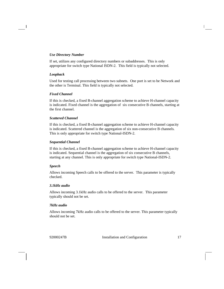#### *Use Directory Number*

If set, utilizes any configured directory numbers or subaddresses. This is only appropriate for switch type National ISDN-2. This field is typically not selected.

#### *Loopback*

Used for testing call processing between two subnets. One port is set to be Network and the other is Terminal. This field is typically not selected.

#### *Fixed Channel*

If this is checked, a fixed B-channel aggregation scheme to achieve H-channel capacity is indicated. Fixed channel is the aggregation of six consecutive B channels, starting at the first channel.

#### *Scattered Channel*

If this is checked, a fixed B-channel aggregation scheme to achieve H-channel capacity is indicated. Scattered channel is the aggregation of six non-consecutive B channels. This is only appropriate for switch type National-ISDN-2.

#### *Sequential Channel*

If this is checked, a fixed B-channel aggregation scheme to achieve H-channel capacity is indicated. Sequential channel is the aggregation of six consecutive B channels, starting at any channel. This is only appropriate for switch type National-ISDN-2.

#### *Speech*

Allows incoming Speech calls to be offered to the server. This parameter is typically checked.

#### *3.1kHz audio*

Allows incoming 3.1kHz audio calls to be offered to the server. This parameter typically should not be set.

#### *7kHz audio*

Allows incoming 7kHz audio calls to be offered to the server. This parameter typically should not be set.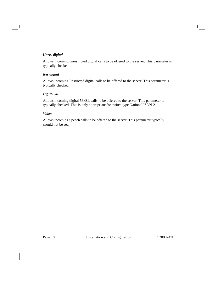#### *Unres digital*

 $\overline{\phantom{a}}$ 

Allows incoming unrestricted digital calls to be offered to the server. This parameter is typically checked.

#### *Res digital*

Allows incoming Restricted digital calls to be offered to the server. This parameter is typically checked.

#### *Digital 56*

Allows incoming digital 56kBit calls to be offered to the server. This parameter is typically checked. This is only appropriate for switch type National ISDN-2.

#### *Video*

Allows incoming Speech calls to be offered to the server. This parameter typically should not be set.

Page 18 Installation and Configuration 92000247B

 $\mathsf{I}$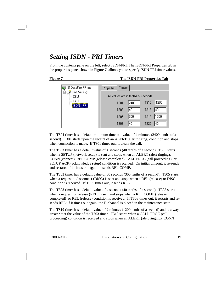### *Setting ISDN - PRI Timers*

From the contents pane on the left, select ISDN-PRI. The ISDN-PRI Properties tab in the properties pane, shown in Figure 7, allows you to specify ISDN-PRI timer values.



**Figure 7** The ISDN-PRI Properties Tab

| [2] DataFire PRIme             | Timers<br>Properties                |  |  |  |
|--------------------------------|-------------------------------------|--|--|--|
| 白 _ Sy Line Settings<br>l— CSU | All values are in tenths of seconds |  |  |  |
| l— LAPDI<br>ISDN - PRI         | 1200<br>T310<br>2400<br>T301        |  |  |  |
|                                | 140<br>40<br>T313<br>T303           |  |  |  |
|                                | 300<br>1200<br>T316<br>T305         |  |  |  |
|                                | T322<br>40<br>140<br>T308           |  |  |  |

The **T301** timer has a default minimum time-out value of 4 minutes (2400 tenths of a second). T301 starts upon the receipt of an ALERT (alert ringing) condition and stops when connection is made. If T301 times out, it clears the call.

The **T303** timer has a default value of 4 seconds (40 tenths of a second). T303 starts when a SETUP (network setup) is sent and stops when an ALERT (alert ringing), CONN (connect), REL COMP (release completed) CALL PROC (call proceeding), or SETUP ACK (acknowledge setup) condition is received. On initial timeout, it re-sends and restarts; if it times out again, it sends REL COMP.

The **T305** timer has a default value of 30 seconds (300 tenths of a second). T305 starts when a request to disconnect (DISC) is sent and stops when a REL (release) or DISC condition is received. If T305 times out, it sends REL.

The **T308** timer has a default value of 4 seconds (40 tenths of a second). T308 starts when a request for release (REL) is sent and stops when a REL COMP (release completed) or REL (release) condition is received. If T308 times out, it restarts and resends REL; if it times out again, the B-channel is placed in the maintenance state.

The **T310** timer has a default value of 2 minutes (1200 tenths of a second) and is always greater that the value of the T303 timer. T310 starts when a CALL PROC (call proceeding) condition is received and stops when an ALERT (alert ringing), CONN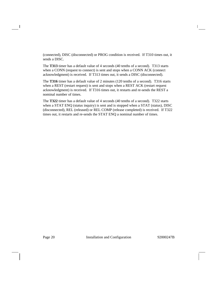(connected), DISC (disconnected) or PROG condition is received. If T310 times out, it sends a DISC.

The **T313** timer has a default value of 4 seconds (40 tenths of a second). T313 starts when a CONN (request to connect) is sent and stops when a CONN ACK (connect acknowledgment) is received. If T313 times out, it sends a DISC (disconnected).

The **T316** timer has a default value of 2 minutes (120 tenths of a second). T316 starts when a REST (restart request) is sent and stops when a REST ACK (restart request acknowledgment) is received. If T316 times out, it restarts and re-sends the REST a nominal number of times.

The **T322** timer has a default value of 4 seconds (40 tenths of a second). T322 starts when a STAT ENQ (status inquiry) is sent and is stopped when a STAT (status), DISC (disconnected), REL (released) or REL COMP (release completed) is received. If T322 times out, it restarts and re-sends the STAT ENQ a nominal number of times.

 $\overline{\phantom{a}}$ 

Page 20 Installation and Configuration 92000247B

 $\overline{1}$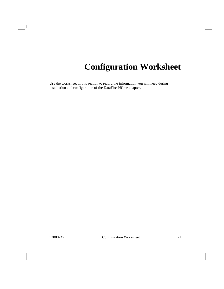## **Configuration Worksheet**

Use the worksheet in this section to record the information you will need during installation and configuration of the DataFire PRIme adapter.

 $\overline{\phantom{a}}$ 

92000247 Configuration Worksheet 21

 $\mathbf{L}$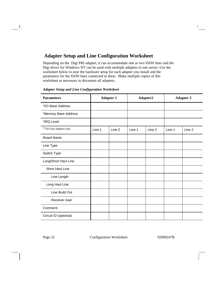### **Adapter Setup and Line Configuration Worksheet**

Depending on the Digi PRI adapter, it can accommodate one or two ISDN lines and the Digi driver for Windows NT can be used with multiple adapters in one server. Use the worksheet below to note the hardware setup for each adapter you install and the parameters for the ISDN lines connected to them. Make multiple copies of this worksheet as necessary to document all adapters.

| <b>Parameters</b>       | <b>Adapter 1</b> |        | Adapter2 |        | <b>Adapter 3</b> |        |
|-------------------------|------------------|--------|----------|--------|------------------|--------|
| *I/O Base Address       |                  |        |          |        |                  |        |
| *Memory Base Address    |                  |        |          |        |                  |        |
| *IRQ Level              |                  |        |          |        |                  |        |
| * ISA bus adapters only | Line 1           | Line 2 | Line 1   | Line 2 | Line 1           | Line 2 |
| <b>Board Name</b>       |                  |        |          |        |                  |        |
| Line Type               |                  |        |          |        |                  |        |
| Switch Type             |                  |        |          |        |                  |        |
| Long/Short Haul Line    |                  |        |          |        |                  |        |
| <b>Short Haul Line</b>  |                  |        |          |        |                  |        |
| Line Length             |                  |        |          |        |                  |        |
| Long Haul Line          |                  |        |          |        |                  |        |
| Line Build Out          |                  |        |          |        |                  |        |
| Receiver Gain           |                  |        |          |        |                  |        |
| Comment                 |                  |        |          |        |                  |        |
| Circuit ID (optional)   |                  |        |          |        |                  |        |

*Adapter Setup and Line Configuration Worksheet*

 $\overline{\phantom{0}}$ 

Page 22 Configuration Worksheet 92000247B

 $\mathbf{I}$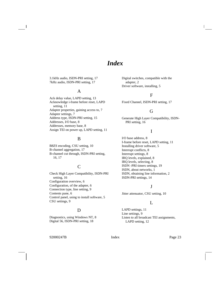### *Index*

3.1kHz audio, ISDN-PRI setting, 17 7kHz audio, ISDN-PRI setting, 17

#### A

Ack delay value, LAPD setting, 13 Acknowledge i-frame before reset, LAPD setting, 11 Adapter properties, gaining access to, 7 Adapter settings, 7 Address type, ISDN-PRI setting, 15 Addresses, I/O base, 8 Addresses, memory base, 8 Assign TEI on power up, LAPD setting, 11

#### B

B8ZS encoding, CSU setting, 10 B-channel aggregation, 17 B-channel cut through, ISDN-PRI setting, 16, 17

#### C

Check High Layer Compatibility, ISDN-PRI setting, 16 Configuration overview, 6 Configuration, of the adapter, 6 Connection type, line setting, 9 Contents pane, 6 Control panel, using to install software, 5 CSU settings, 9

#### D

Diagnostics, using Windows NT, 8 Digital 56, ISDN-PRI setting, 18

Digital switches, compatible with the adapter, 2 Driver software, installing, 5

#### F

Fixed Channel, ISDN-PRI setting, 17

#### G

Generate High Layer Compatibility, ISDN-PRI setting, 16

#### I

I/O base address, 8 I-frame before reset, LAPD setting, 11 Installing driver software, 5 Interrupt conflicts, 8 Interrupt settings, 8 IRQ levels, explained, 8 IRQ levels, selecting, 8 ISDN -PRI timers settings, 19 ISDN, about networks, 1 ISDN, obtaining line information, 2 ISDN-PRI settings, 14

#### J

Jitter attenuator, CSU setting, 10

#### L

LAPD settings, 11 Line settings, 9 Listen to all broadcast TEI assignments, LAPD setting, 12

92000247B Index Index Page 23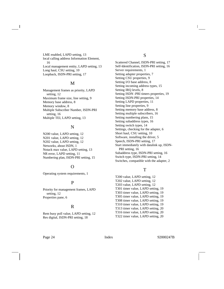LME enabled, LAPD setting, 13 local calling address Information Element, 16 Local management entity, LAPD setting, 13 Long haul, CSU setting, 10 Loopback, ISDN-PRI setting, 17

#### M

Management frames as priority, LAPD setting, 12 Maximum frame size, line setting, 9 Memory base address, 8 Memory window, 8 Multiple Subscriber Number, ISDN-PRI setting, 16 Multiple TEI, LAPD setting, 13

#### N

N200 value, LAPD setting, 12 N201 value, LAPD setting, 12 N202 value, LAPD setting, 12 Networks, about ISDN, 1 Notack max value, LAPD setting, 13 NR error, LAPD setting, 11 Numbering plan, ISDN-PRI setting, 15

#### O

Operating system requirements, 1

#### P

Priority for management frames, LAPD setting, 12 Properties pane, 6

#### R

Rem busy poll value, LAPD setting, 12 Res digital, ISDN-PRI setting, 18

#### S

Scattered Channel, ISDN-PRI setting, 17 Self-Identification, ISDN-PRI setting, 16 Server requirements, 1 Setting adapter properties, 7 Setting CSU properties, 9 Setting I/O base address, 8 Setting incoming address types, 15 Setting IRQ levels, 8 Setting ISDN -PRI timers properties, 19 Setting ISDN-PRI properties, 14 Setting LAPD properties, 11 Setting line properties, 9 Setting memory base address, 8 Setting multiple subscribers, 16 Setting numbering plans, 15 Setting subaddress types, 16 Setting switch types, 14 Settings, checking for the adapter, 6 Short haul, CSU setting, 10 Software, installing the driver, 5 Speech, ISDN-PRI setting, 17 Start immediately with datalink up, ISDN-PRI setting, 16 Subaddress type, ISDN-PRI setting, 16 Switch type, ISDN-PRI setting, 14 Switches, compatible with the adapter, 2

#### T

T200 value, LAPD setting, 12 T202 value, LAPD setting, 12 T203 value, LAPD setting, 12 T301 timer value, LAPD setting, 19 T303 timer value, LAPD setting, 19 T305 timer value, LAPD setting, 19 T308 timer value, LAPD setting, 19 T310 timer value, LAPD setting, 19 T313 timer value, LAPD setting, 20 T316 timer value, LAPD setting, 20 T322 timer value, LAPD setting, 20

#### Page 24 **Index** 92000247B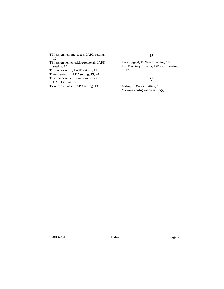TEI assignment messages, LAPD setting, 12

TEI assignment/checking/removal, LAPD setting, 13

TEI on power up, LAPD setting, 11

 $\blacksquare$ 

Timer settings, LAPD setting, 19, 20

Treat management frames as priority, LAPD setting, 12

Tx window value, LAPD setting, 13

U

 $\mathbf{L}$ 

Unres digital, ISDN-PRI setting, 18 Use Directory Number, ISDN-PRI setting, 17

#### V

Video, ISDN-PRI setting, 18 Viewing configuration settings, 6